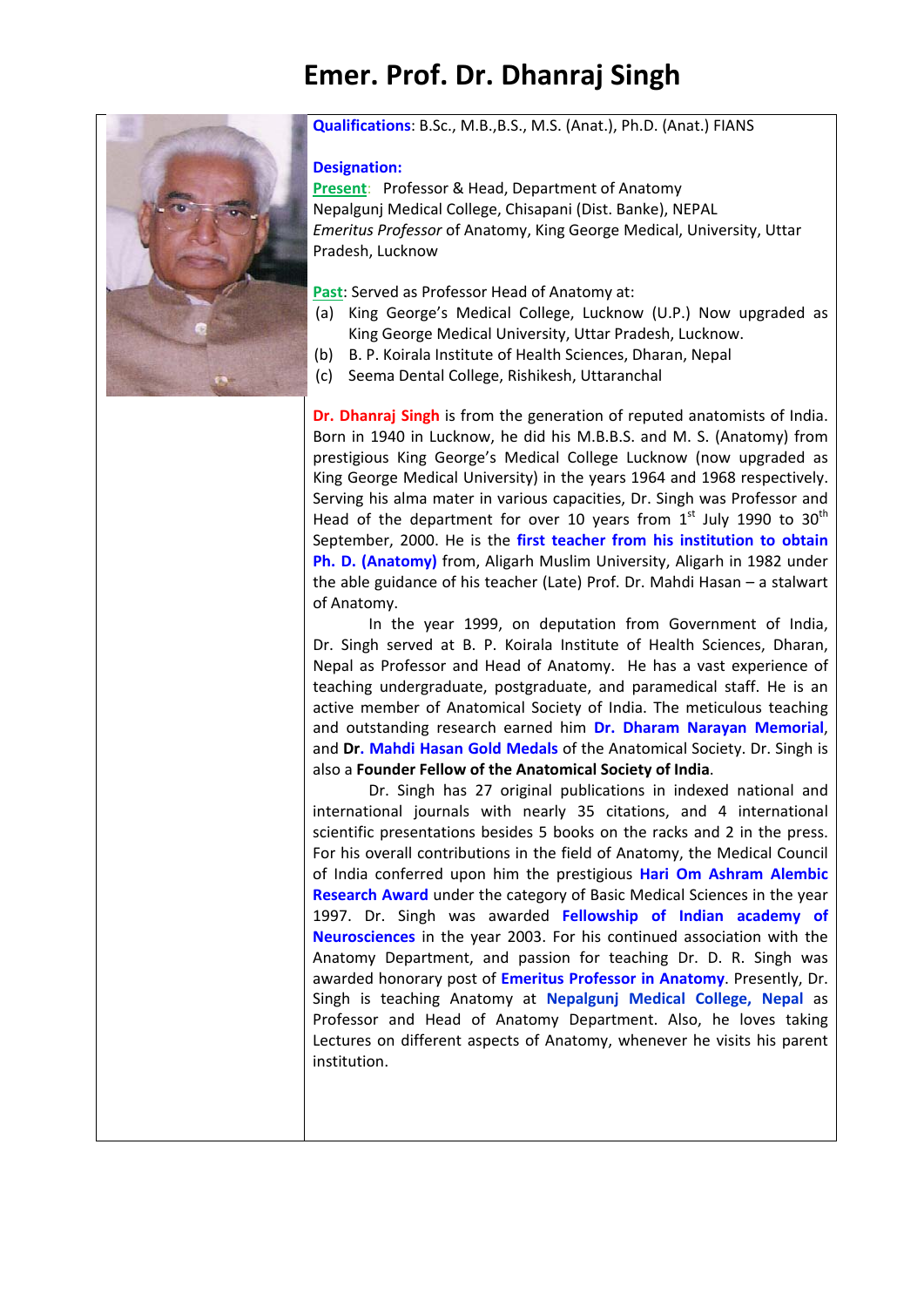## **Emer. Prof. Dr. Dhanraj Singh**



#### **Qualifications**: B.Sc., M.B.,B.S., M.S. (Anat.), Ph.D. (Anat.) FIANS

#### **Designation:**

**Present**: Professor & Head, Department of Anatomy Nepalgunj Medical College, Chisapani (Dist. Banke), NEPAL *Emeritus Professor* of Anatomy, King George Medical, University, Uttar Pradesh, Lucknow

**Past**: Served as Professor Head of Anatomy at:

- (a) King George's Medical College, Lucknow (U.P.) Now upgraded as King George Medical University, Uttar Pradesh, Lucknow.
- (b) B. P. Koirala Institute of Health Sciences, Dharan, Nepal
- (c) Seema Dental College, Rishikesh, Uttaranchal

**Dr. Dhanraj Singh** is from the generation of reputed anatomists of India. Born in 1940 in Lucknow, he did his M.B.B.S. and M. S. (Anatomy) from prestigious King George's Medical College Lucknow (now upgraded as King George Medical University) in the years 1964 and 1968 respectively. Serving his alma mater in various capacities, Dr. Singh was Professor and Head of the department for over 10 years from  $1^{st}$  July 1990 to 30<sup>th</sup> September, 2000. He is the **first teacher from his institution to obtain Ph. D. (Anatomy)** from, Aligarh Muslim University, Aligarh in 1982 under the able guidance of his teacher (Late) Prof. Dr. Mahdi Hasan – a stalwart of Anatomy.

In the year 1999, on deputation from Government of India, Dr. Singh served at B. P. Koirala Institute of Health Sciences, Dharan, Nepal as Professor and Head of Anatomy. He has a vast experience of teaching undergraduate, postgraduate, and paramedical staff. He is an active member of Anatomical Society of India. The meticulous teaching and outstanding research earned him **Dr. Dharam Narayan Memorial**, and **Dr. Mahdi Hasan Gold Medals** of the Anatomical Society. Dr. Singh is also a **Founder Fellow of the Anatomical Society of India**.

Dr. Singh has 27 original publications in indexed national and international journals with nearly 35 citations, and 4 international scientific presentations besides 5 books on the racks and 2 in the press. For his overall contributions in the field of Anatomy, the Medical Council of India conferred upon him the prestigious **Hari Om Ashram Alembic Research Award** under the category of Basic Medical Sciences in the year 1997. Dr. Singh was awarded **Fellowship of Indian academy of Neurosciences** in the year 2003. For his continued association with the Anatomy Department, and passion for teaching Dr. D. R. Singh was awarded honorary post of **Emeritus Professor in Anatomy**. Presently, Dr. Singh is teaching Anatomy at **Nepalgunj Medical College, Nepal** as Professor and Head of Anatomy Department. Also, he loves taking Lectures on different aspects of Anatomy, whenever he visits his parent institution.